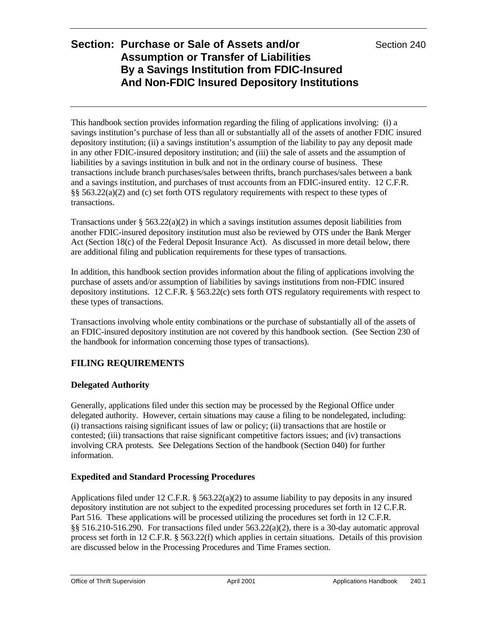This handbook section provides information regarding the filing of applications involving: (i) a savings institution's purchase of less than all or substantially all of the assets of another FDIC insured depository institution; (ii) a savings institution's assumption of the liability to pay any deposit made in any other FDIC-insured depository institution; and (iii) the sale of assets and the assumption of liabilities by a savings institution in bulk and not in the ordinary course of business. These transactions include branch purchases/sales between thrifts, branch purchases/sales between a bank and a savings institution, and purchases of trust accounts from an FDIC-insured entity. 12 C.F.R. §§ 563.22(a)(2) and (c) set forth OTS regulatory requirements with respect to these types of transactions.

Transactions under §  $563.22(a)(2)$  in which a savings institution assumes deposit liabilities from another FDIC-insured depository institution must also be reviewed by OTS under the Bank Merger Act (Section 18(c) of the Federal Deposit Insurance Act). As discussed in more detail below, there are additional filing and publication requirements for these types of transactions.

In addition, this handbook section provides information about the filing of applications involving the purchase of assets and/or assumption of liabilities by savings institutions from non-FDIC insured depository institutions. 12 C.F.R. § 563.22(c) sets forth OTS regulatory requirements with respect to these types of transactions.

Transactions involving whole entity combinations or the purchase of substantially all of the assets of an FDIC-insured depository institution are not covered by this handbook section. (See Section 230 of the handbook for information concerning those types of transactions).

## **FILING REQUIREMENTS**

### **Delegated Authority**

Generally, applications filed under this section may be processed by the Regional Office under delegated authority. However, certain situations may cause a filing to be nondelegated, including: (i) transactions raising significant issues of law or policy; (ii) transactions that are hostile or contested; (iii) transactions that raise significant competitive factors issues; and (iv) transactions involving CRA protests. See Delegations Section of the handbook (Section 040) for further information.

### **Expedited and Standard Processing Procedures**

Applications filed under 12 C.F.R.  $\S 563.22(a)(2)$  to assume liability to pay deposits in any insured depository institution are not subject to the expedited processing procedures set forth in 12 C.F.R. Part 516. These applications will be processed utilizing the procedures set forth in 12 C.F.R. §§ 516.210-516.290. For transactions filed under  $563.22(a)(2)$ , there is a 30-day automatic approval process set forth in 12 C.F.R. § 563.22(f) which applies in certain situations. Details of this provision are discussed below in the Processing Procedures and Time Frames section.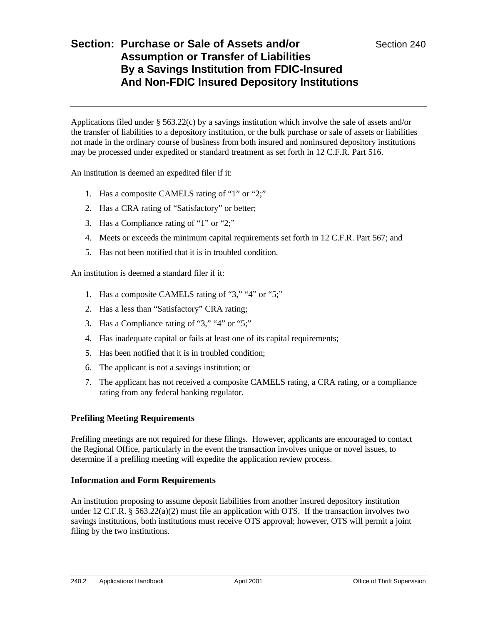Applications filed under  $\S 563.22(c)$  by a savings institution which involve the sale of assets and/or the transfer of liabilities to a depository institution, or the bulk purchase or sale of assets or liabilities not made in the ordinary course of business from both insured and noninsured depository institutions may be processed under expedited or standard treatment as set forth in 12 C.F.R. Part 516.

An institution is deemed an expedited filer if it:

- 1. Has a composite CAMELS rating of "1" or "2;"
- 2. Has a CRA rating of "Satisfactory" or better;
- 3. Has a Compliance rating of "1" or "2;"
- 4. Meets or exceeds the minimum capital requirements set forth in 12 C.F.R. Part 567; and
- 5. Has not been notified that it is in troubled condition.

An institution is deemed a standard filer if it:

- 1. Has a composite CAMELS rating of "3," "4" or "5;"
- 2. Has a less than "Satisfactory" CRA rating;
- 3. Has a Compliance rating of "3," "4" or "5;"
- 4. Has inadequate capital or fails at least one of its capital requirements;
- 5. Has been notified that it is in troubled condition;
- 6. The applicant is not a savings institution; or
- 7. The applicant has not received a composite CAMELS rating, a CRA rating, or a compliance rating from any federal banking regulator.

### **Prefiling Meeting Requirements**

Prefiling meetings are not required for these filings. However, applicants are encouraged to contact the Regional Office, particularly in the event the transaction involves unique or novel issues, to determine if a prefiling meeting will expedite the application review process.

#### **Information and Form Requirements**

An institution proposing to assume deposit liabilities from another insured depository institution under 12 C.F.R. § 563.22(a)(2) must file an application with OTS. If the transaction involves two savings institutions, both institutions must receive OTS approval; however, OTS will permit a joint filing by the two institutions.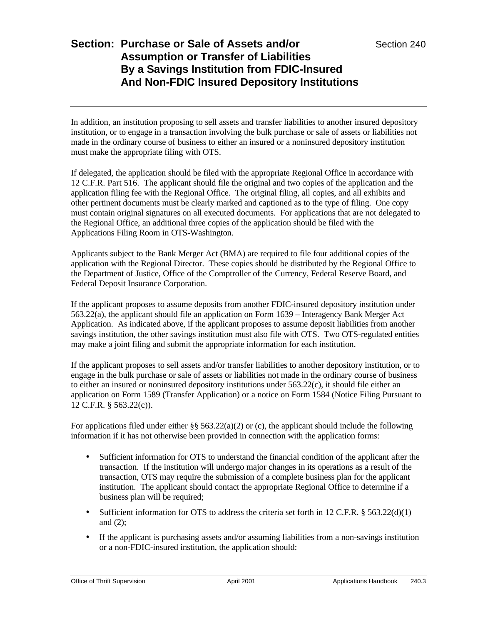In addition, an institution proposing to sell assets and transfer liabilities to another insured depository institution, or to engage in a transaction involving the bulk purchase or sale of assets or liabilities not made in the ordinary course of business to either an insured or a noninsured depository institution must make the appropriate filing with OTS.

If delegated, the application should be filed with the appropriate Regional Office in accordance with 12 C.F.R. Part 516. The applicant should file the original and two copies of the application and the application filing fee with the Regional Office. The original filing, all copies, and all exhibits and other pertinent documents must be clearly marked and captioned as to the type of filing. One copy must contain original signatures on all executed documents. For applications that are not delegated to the Regional Office, an additional three copies of the application should be filed with the Applications Filing Room in OTS-Washington.

Applicants subject to the Bank Merger Act (BMA) are required to file four additional copies of the application with the Regional Director. These copies should be distributed by the Regional Office to the Department of Justice, Office of the Comptroller of the Currency, Federal Reserve Board, and Federal Deposit Insurance Corporation.

If the applicant proposes to assume deposits from another FDIC-insured depository institution under 563.22(a), the applicant should file an application on Form 1639 – Interagency Bank Merger Act Application. As indicated above, if the applicant proposes to assume deposit liabilities from another savings institution, the other savings institution must also file with OTS. Two OTS-regulated entities may make a joint filing and submit the appropriate information for each institution.

If the applicant proposes to sell assets and/or transfer liabilities to another depository institution, or to engage in the bulk purchase or sale of assets or liabilities not made in the ordinary course of business to either an insured or noninsured depository institutions under 563.22(c), it should file either an application on Form 1589 (Transfer Application) or a notice on Form 1584 (Notice Filing Pursuant to 12 C.F.R. § 563.22(c)).

For applications filed under either  $\S$ § 563.22(a)(2) or (c), the applicant should include the following information if it has not otherwise been provided in connection with the application forms:

- Sufficient information for OTS to understand the financial condition of the applicant after the transaction. If the institution will undergo major changes in its operations as a result of the transaction, OTS may require the submission of a complete business plan for the applicant institution. The applicant should contact the appropriate Regional Office to determine if a business plan will be required;
- Sufficient information for OTS to address the criteria set forth in 12 C.F.R. § 563.22(d)(1) and (2);
- If the applicant is purchasing assets and/or assuming liabilities from a non-savings institution or a non-FDIC-insured institution, the application should: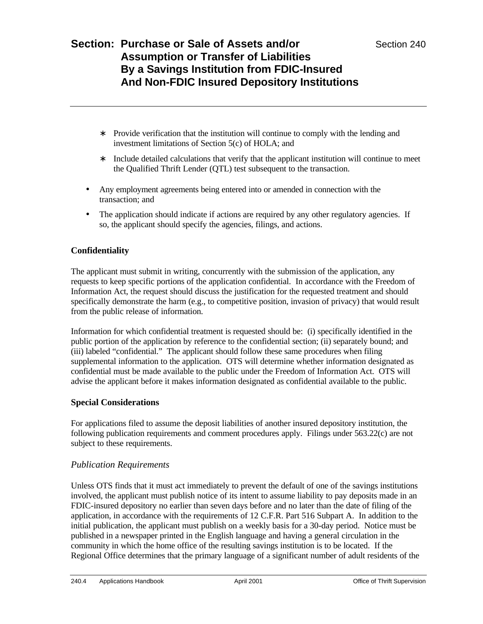- ∗ Provide verification that the institution will continue to comply with the lending and investment limitations of Section 5(c) of HOLA; and
- ∗ Include detailed calculations that verify that the applicant institution will continue to meet the Qualified Thrift Lender (QTL) test subsequent to the transaction.
- Any employment agreements being entered into or amended in connection with the transaction; and
- The application should indicate if actions are required by any other regulatory agencies. If so, the applicant should specify the agencies, filings, and actions.

### **Confidentiality**

The applicant must submit in writing, concurrently with the submission of the application, any requests to keep specific portions of the application confidential. In accordance with the Freedom of Information Act, the request should discuss the justification for the requested treatment and should specifically demonstrate the harm (e.g., to competitive position, invasion of privacy) that would result from the public release of information.

Information for which confidential treatment is requested should be: (i) specifically identified in the public portion of the application by reference to the confidential section; (ii) separately bound; and (iii) labeled "confidential." The applicant should follow these same procedures when filing supplemental information to the application. OTS will determine whether information designated as confidential must be made available to the public under the Freedom of Information Act. OTS will advise the applicant before it makes information designated as confidential available to the public.

### **Special Considerations**

For applications filed to assume the deposit liabilities of another insured depository institution, the following publication requirements and comment procedures apply. Filings under 563.22(c) are not subject to these requirements.

### *Publication Requirements*

Unless OTS finds that it must act immediately to prevent the default of one of the savings institutions involved, the applicant must publish notice of its intent to assume liability to pay deposits made in an FDIC-insured depository no earlier than seven days before and no later than the date of filing of the application, in accordance with the requirements of 12 C.F.R. Part 516 Subpart A. In addition to the initial publication, the applicant must publish on a weekly basis for a 30-day period. Notice must be published in a newspaper printed in the English language and having a general circulation in the community in which the home office of the resulting savings institution is to be located. If the Regional Office determines that the primary language of a significant number of adult residents of the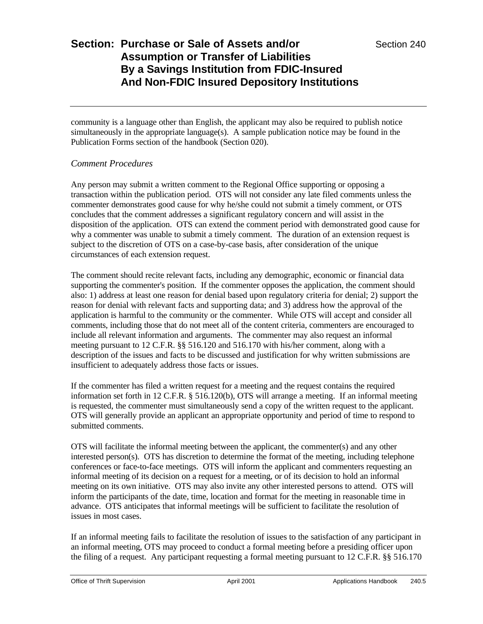community is a language other than English, the applicant may also be required to publish notice simultaneously in the appropriate language(s). A sample publication notice may be found in the Publication Forms section of the handbook (Section 020).

### *Comment Procedures*

Any person may submit a written comment to the Regional Office supporting or opposing a transaction within the publication period. OTS will not consider any late filed comments unless the commenter demonstrates good cause for why he/she could not submit a timely comment, or OTS concludes that the comment addresses a significant regulatory concern and will assist in the disposition of the application. OTS can extend the comment period with demonstrated good cause for why a commenter was unable to submit a timely comment. The duration of an extension request is subject to the discretion of OTS on a case-by-case basis, after consideration of the unique circumstances of each extension request.

The comment should recite relevant facts, including any demographic, economic or financial data supporting the commenter's position. If the commenter opposes the application, the comment should also: 1) address at least one reason for denial based upon regulatory criteria for denial; 2) support the reason for denial with relevant facts and supporting data; and 3) address how the approval of the application is harmful to the community or the commenter. While OTS will accept and consider all comments, including those that do not meet all of the content criteria, commenters are encouraged to include all relevant information and arguments. The commenter may also request an informal meeting pursuant to 12 C.F.R. §§ 516.120 and 516.170 with his/her comment, along with a description of the issues and facts to be discussed and justification for why written submissions are insufficient to adequately address those facts or issues.

If the commenter has filed a written request for a meeting and the request contains the required information set forth in 12 C.F.R. § 516.120(b), OTS will arrange a meeting. If an informal meeting is requested, the commenter must simultaneously send a copy of the written request to the applicant. OTS will generally provide an applicant an appropriate opportunity and period of time to respond to submitted comments.

OTS will facilitate the informal meeting between the applicant, the commenter(s) and any other interested person(s). OTS has discretion to determine the format of the meeting, including telephone conferences or face-to-face meetings. OTS will inform the applicant and commenters requesting an informal meeting of its decision on a request for a meeting, or of its decision to hold an informal meeting on its own initiative. OTS may also invite any other interested persons to attend. OTS will inform the participants of the date, time, location and format for the meeting in reasonable time in advance. OTS anticipates that informal meetings will be sufficient to facilitate the resolution of issues in most cases.

If an informal meeting fails to facilitate the resolution of issues to the satisfaction of any participant in an informal meeting, OTS may proceed to conduct a formal meeting before a presiding officer upon the filing of a request. Any participant requesting a formal meeting pursuant to 12 C.F.R. §§ 516.170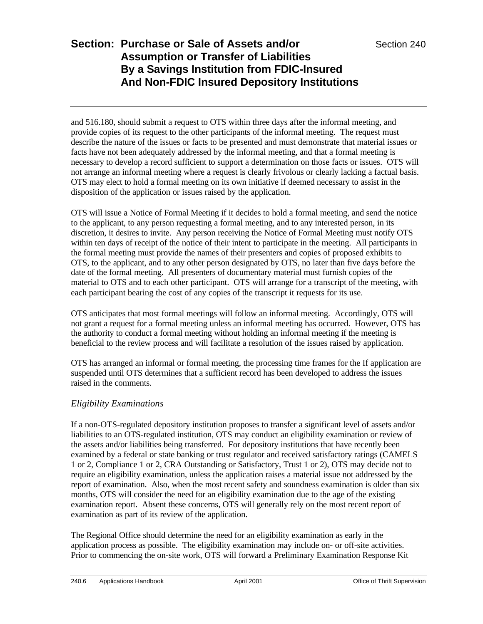and 516.180, should submit a request to OTS within three days after the informal meeting, and provide copies of its request to the other participants of the informal meeting. The request must describe the nature of the issues or facts to be presented and must demonstrate that material issues or facts have not been adequately addressed by the informal meeting, and that a formal meeting is necessary to develop a record sufficient to support a determination on those facts or issues. OTS will not arrange an informal meeting where a request is clearly frivolous or clearly lacking a factual basis. OTS may elect to hold a formal meeting on its own initiative if deemed necessary to assist in the disposition of the application or issues raised by the application.

OTS will issue a Notice of Formal Meeting if it decides to hold a formal meeting, and send the notice to the applicant, to any person requesting a formal meeting, and to any interested person, in its discretion, it desires to invite. Any person receiving the Notice of Formal Meeting must notify OTS within ten days of receipt of the notice of their intent to participate in the meeting. All participants in the formal meeting must provide the names of their presenters and copies of proposed exhibits to OTS, to the applicant, and to any other person designated by OTS, no later than five days before the date of the formal meeting. All presenters of documentary material must furnish copies of the material to OTS and to each other participant. OTS will arrange for a transcript of the meeting, with each participant bearing the cost of any copies of the transcript it requests for its use.

OTS anticipates that most formal meetings will follow an informal meeting. Accordingly, OTS will not grant a request for a formal meeting unless an informal meeting has occurred. However, OTS has the authority to conduct a formal meeting without holding an informal meeting if the meeting is beneficial to the review process and will facilitate a resolution of the issues raised by application.

OTS has arranged an informal or formal meeting, the processing time frames for the If application are suspended until OTS determines that a sufficient record has been developed to address the issues raised in the comments.

### *Eligibility Examinations*

If a non-OTS-regulated depository institution proposes to transfer a significant level of assets and/or liabilities to an OTS-regulated institution, OTS may conduct an eligibility examination or review of the assets and/or liabilities being transferred. For depository institutions that have recently been examined by a federal or state banking or trust regulator and received satisfactory ratings (CAMELS 1 or 2, Compliance 1 or 2, CRA Outstanding or Satisfactory, Trust 1 or 2), OTS may decide not to require an eligibility examination, unless the application raises a material issue not addressed by the report of examination. Also, when the most recent safety and soundness examination is older than six months, OTS will consider the need for an eligibility examination due to the age of the existing examination report. Absent these concerns, OTS will generally rely on the most recent report of examination as part of its review of the application.

The Regional Office should determine the need for an eligibility examination as early in the application process as possible. The eligibility examination may include on- or off-site activities. Prior to commencing the on-site work, OTS will forward a Preliminary Examination Response Kit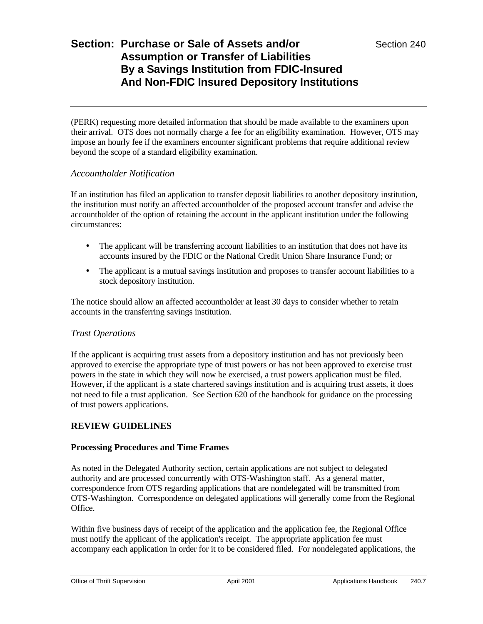(PERK) requesting more detailed information that should be made available to the examiners upon their arrival. OTS does not normally charge a fee for an eligibility examination. However, OTS may impose an hourly fee if the examiners encounter significant problems that require additional review beyond the scope of a standard eligibility examination.

### *Accountholder Notification*

If an institution has filed an application to transfer deposit liabilities to another depository institution, the institution must notify an affected accountholder of the proposed account transfer and advise the accountholder of the option of retaining the account in the applicant institution under the following circumstances:

- The applicant will be transferring account liabilities to an institution that does not have its accounts insured by the FDIC or the National Credit Union Share Insurance Fund; or
- The applicant is a mutual savings institution and proposes to transfer account liabilities to a stock depository institution.

The notice should allow an affected accountholder at least 30 days to consider whether to retain accounts in the transferring savings institution.

### *Trust Operations*

If the applicant is acquiring trust assets from a depository institution and has not previously been approved to exercise the appropriate type of trust powers or has not been approved to exercise trust powers in the state in which they will now be exercised, a trust powers application must be filed. However, if the applicant is a state chartered savings institution and is acquiring trust assets, it does not need to file a trust application. See Section 620 of the handbook for guidance on the processing of trust powers applications.

### **REVIEW GUIDELINES**

#### **Processing Procedures and Time Frames**

As noted in the Delegated Authority section, certain applications are not subject to delegated authority and are processed concurrently with OTS-Washington staff. As a general matter, correspondence from OTS regarding applications that are nondelegated will be transmitted from OTS-Washington. Correspondence on delegated applications will generally come from the Regional Office.

Within five business days of receipt of the application and the application fee, the Regional Office must notify the applicant of the application's receipt. The appropriate application fee must accompany each application in order for it to be considered filed. For nondelegated applications, the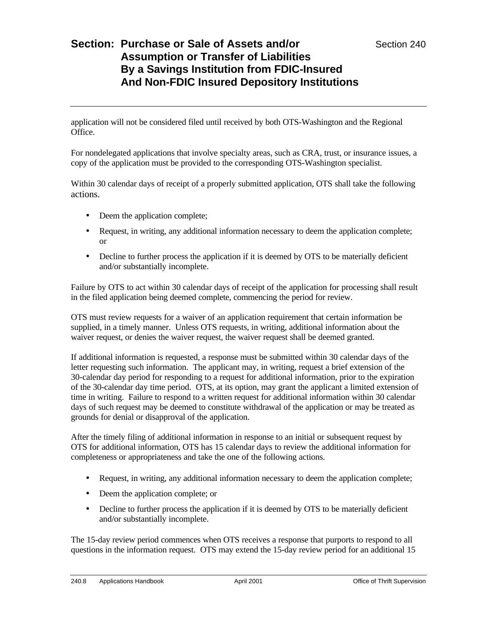application will not be considered filed until received by both OTS-Washington and the Regional Office.

For nondelegated applications that involve specialty areas, such as CRA, trust, or insurance issues, a copy of the application must be provided to the corresponding OTS-Washington specialist.

Within 30 calendar days of receipt of a properly submitted application, OTS shall take the following actions.

- Deem the application complete;
- Request, in writing, any additional information necessary to deem the application complete; or
- Decline to further process the application if it is deemed by OTS to be materially deficient and/or substantially incomplete.

Failure by OTS to act within 30 calendar days of receipt of the application for processing shall result in the filed application being deemed complete, commencing the period for review.

OTS must review requests for a waiver of an application requirement that certain information be supplied, in a timely manner. Unless OTS requests, in writing, additional information about the waiver request, or denies the waiver request, the waiver request shall be deemed granted.

If additional information is requested, a response must be submitted within 30 calendar days of the letter requesting such information. The applicant may, in writing, request a brief extension of the 30-calendar day period for responding to a request for additional information, prior to the expiration of the 30-calendar day time period. OTS, at its option, may grant the applicant a limited extension of time in writing. Failure to respond to a written request for additional information within 30 calendar days of such request may be deemed to constitute withdrawal of the application or may be treated as grounds for denial or disapproval of the application.

After the timely filing of additional information in response to an initial or subsequent request by OTS for additional information, OTS has 15 calendar days to review the additional information for completeness or appropriateness and take the one of the following actions.

- Request, in writing, any additional information necessary to deem the application complete;
- Deem the application complete; or
- Decline to further process the application if it is deemed by OTS to be materially deficient and/or substantially incomplete.

The 15-day review period commences when OTS receives a response that purports to respond to all questions in the information request. OTS may extend the 15-day review period for an additional 15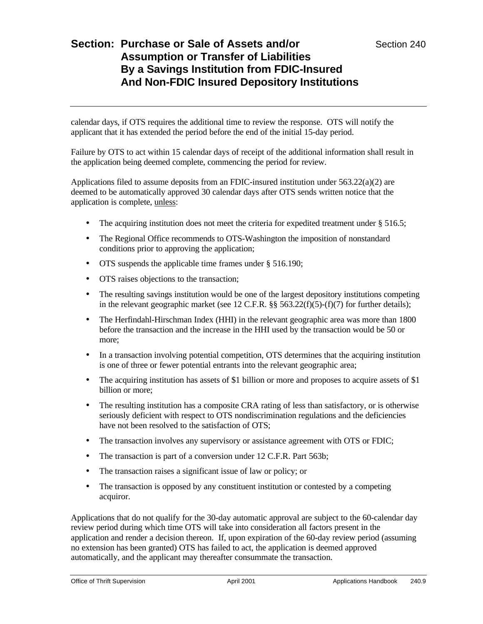calendar days, if OTS requires the additional time to review the response. OTS will notify the applicant that it has extended the period before the end of the initial 15-day period.

Failure by OTS to act within 15 calendar days of receipt of the additional information shall result in the application being deemed complete, commencing the period for review.

Applications filed to assume deposits from an FDIC-insured institution under 563.22(a)(2) are deemed to be automatically approved 30 calendar days after OTS sends written notice that the application is complete, unless:

- The acquiring institution does not meet the criteria for expedited treatment under § 516.5;
- The Regional Office recommends to OTS-Washington the imposition of nonstandard conditions prior to approving the application;
- OTS suspends the applicable time frames under § 516.190;
- OTS raises objections to the transaction;
- The resulting savings institution would be one of the largest depository institutions competing in the relevant geographic market (see 12 C.F.R. §§ 563.22(f)(5)-(f)(7) for further details);
- The Herfindahl-Hirschman Index (HHI) in the relevant geographic area was more than 1800 before the transaction and the increase in the HHI used by the transaction would be 50 or more;
- In a transaction involving potential competition, OTS determines that the acquiring institution is one of three or fewer potential entrants into the relevant geographic area;
- The acquiring institution has assets of \$1 billion or more and proposes to acquire assets of \$1 billion or more;
- The resulting institution has a composite CRA rating of less than satisfactory, or is otherwise seriously deficient with respect to OTS nondiscrimination regulations and the deficiencies have not been resolved to the satisfaction of OTS;
- The transaction involves any supervisory or assistance agreement with OTS or FDIC;
- The transaction is part of a conversion under 12 C.F.R. Part 563b;
- The transaction raises a significant issue of law or policy; or
- The transaction is opposed by any constituent institution or contested by a competing acquiror.

Applications that do not qualify for the 30-day automatic approval are subject to the 60-calendar day review period during which time OTS will take into consideration all factors present in the application and render a decision thereon. If, upon expiration of the 60-day review period (assuming no extension has been granted) OTS has failed to act, the application is deemed approved automatically, and the applicant may thereafter consummate the transaction.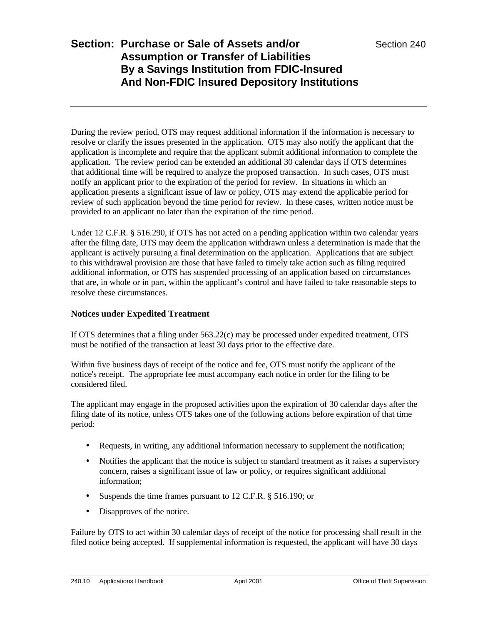During the review period, OTS may request additional information if the information is necessary to resolve or clarify the issues presented in the application. OTS may also notify the applicant that the application is incomplete and require that the applicant submit additional information to complete the application. The review period can be extended an additional 30 calendar days if OTS determines that additional time will be required to analyze the proposed transaction. In such cases, OTS must notify an applicant prior to the expiration of the period for review. In situations in which an application presents a significant issue of law or policy, OTS may extend the applicable period for review of such application beyond the time period for review. In these cases, written notice must be provided to an applicant no later than the expiration of the time period.

Under 12 C.F.R. § 516.290, if OTS has not acted on a pending application within two calendar years after the filing date, OTS may deem the application withdrawn unless a determination is made that the applicant is actively pursuing a final determination on the application. Applications that are subject to this withdrawal provision are those that have failed to timely take action such as filing required additional information, or OTS has suspended processing of an application based on circumstances that are, in whole or in part, within the applicant's control and have failed to take reasonable steps to resolve these circumstances.

### **Notices under Expedited Treatment**

If OTS determines that a filing under 563.22(c) may be processed under expedited treatment, OTS must be notified of the transaction at least 30 days prior to the effective date.

Within five business days of receipt of the notice and fee, OTS must notify the applicant of the notice's receipt. The appropriate fee must accompany each notice in order for the filing to be considered filed.

The applicant may engage in the proposed activities upon the expiration of 30 calendar days after the filing date of its notice, unless OTS takes one of the following actions before expiration of that time period:

- Requests, in writing, any additional information necessary to supplement the notification;
- Notifies the applicant that the notice is subject to standard treatment as it raises a supervisory concern, raises a significant issue of law or policy, or requires significant additional information;
- Suspends the time frames pursuant to 12 C.F.R. § 516.190; or
- Disapproves of the notice.

Failure by OTS to act within 30 calendar days of receipt of the notice for processing shall result in the filed notice being accepted. If supplemental information is requested, the applicant will have 30 days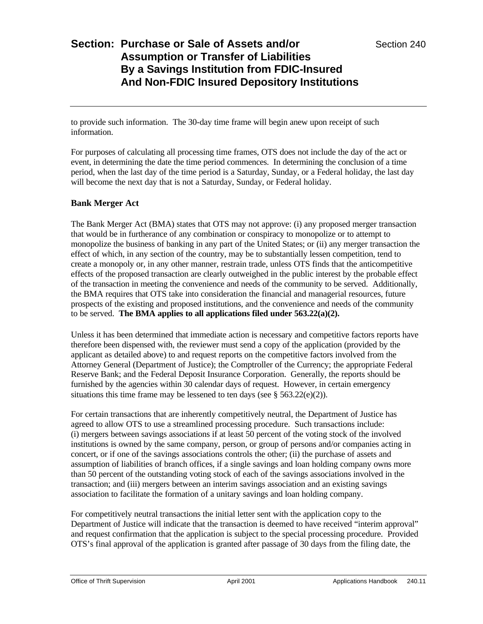to provide such information. The 30-day time frame will begin anew upon receipt of such information.

For purposes of calculating all processing time frames, OTS does not include the day of the act or event, in determining the date the time period commences. In determining the conclusion of a time period, when the last day of the time period is a Saturday, Sunday, or a Federal holiday, the last day will become the next day that is not a Saturday, Sunday, or Federal holiday.

### **Bank Merger Act**

The Bank Merger Act (BMA) states that OTS may not approve: (i) any proposed merger transaction that would be in furtherance of any combination or conspiracy to monopolize or to attempt to monopolize the business of banking in any part of the United States; or (ii) any merger transaction the effect of which, in any section of the country, may be to substantially lessen competition, tend to create a monopoly or, in any other manner, restrain trade, unless OTS finds that the anticompetitive effects of the proposed transaction are clearly outweighed in the public interest by the probable effect of the transaction in meeting the convenience and needs of the community to be served. Additionally, the BMA requires that OTS take into consideration the financial and managerial resources, future prospects of the existing and proposed institutions, and the convenience and needs of the community to be served. **The BMA applies to all applications filed under 563.22(a)(2).**

Unless it has been determined that immediate action is necessary and competitive factors reports have therefore been dispensed with, the reviewer must send a copy of the application (provided by the applicant as detailed above) to and request reports on the competitive factors involved from the Attorney General (Department of Justice); the Comptroller of the Currency; the appropriate Federal Reserve Bank; and the Federal Deposit Insurance Corporation. Generally, the reports should be furnished by the agencies within 30 calendar days of request. However, in certain emergency situations this time frame may be lessened to ten days (see  $\S$  563.22(e)(2)).

For certain transactions that are inherently competitively neutral, the Department of Justice has agreed to allow OTS to use a streamlined processing procedure. Such transactions include: (i) mergers between savings associations if at least 50 percent of the voting stock of the involved institutions is owned by the same company, person, or group of persons and/or companies acting in concert, or if one of the savings associations controls the other; (ii) the purchase of assets and assumption of liabilities of branch offices, if a single savings and loan holding company owns more than 50 percent of the outstanding voting stock of each of the savings associations involved in the transaction; and (iii) mergers between an interim savings association and an existing savings association to facilitate the formation of a unitary savings and loan holding company.

For competitively neutral transactions the initial letter sent with the application copy to the Department of Justice will indicate that the transaction is deemed to have received "interim approval" and request confirmation that the application is subject to the special processing procedure. Provided OTS's final approval of the application is granted after passage of 30 days from the filing date, the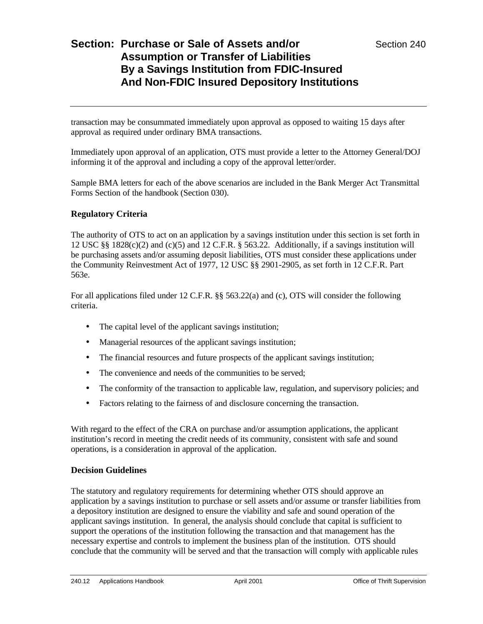transaction may be consummated immediately upon approval as opposed to waiting 15 days after approval as required under ordinary BMA transactions.

Immediately upon approval of an application, OTS must provide a letter to the Attorney General/DOJ informing it of the approval and including a copy of the approval letter/order.

Sample BMA letters for each of the above scenarios are included in the Bank Merger Act Transmittal Forms Section of the handbook (Section 030).

#### **Regulatory Criteria**

The authority of OTS to act on an application by a savings institution under this section is set forth in 12 USC  $\S$ § 1828(c)(2) and (c)(5) and 12 C.F.R. § 563.22. Additionally, if a savings institution will be purchasing assets and/or assuming deposit liabilities, OTS must consider these applications under the Community Reinvestment Act of 1977, 12 USC §§ 2901-2905, as set forth in 12 C.F.R. Part 563e.

For all applications filed under 12 C.F.R. §§ 563.22(a) and (c), OTS will consider the following criteria.

- The capital level of the applicant savings institution;
- Managerial resources of the applicant savings institution;
- The financial resources and future prospects of the applicant savings institution;
- The convenience and needs of the communities to be served;
- The conformity of the transaction to applicable law, regulation, and supervisory policies; and
- Factors relating to the fairness of and disclosure concerning the transaction.

With regard to the effect of the CRA on purchase and/or assumption applications, the applicant institution's record in meeting the credit needs of its community, consistent with safe and sound operations, is a consideration in approval of the application.

#### **Decision Guidelines**

The statutory and regulatory requirements for determining whether OTS should approve an application by a savings institution to purchase or sell assets and/or assume or transfer liabilities from a depository institution are designed to ensure the viability and safe and sound operation of the applicant savings institution. In general, the analysis should conclude that capital is sufficient to support the operations of the institution following the transaction and that management has the necessary expertise and controls to implement the business plan of the institution. OTS should conclude that the community will be served and that the transaction will comply with applicable rules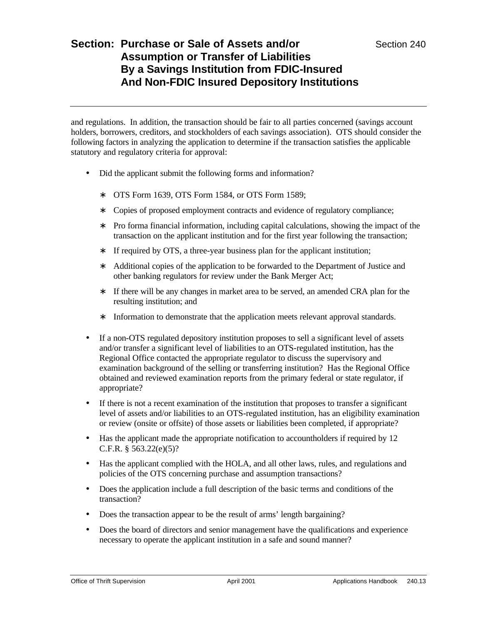and regulations. In addition, the transaction should be fair to all parties concerned (savings account holders, borrowers, creditors, and stockholders of each savings association). OTS should consider the following factors in analyzing the application to determine if the transaction satisfies the applicable statutory and regulatory criteria for approval:

- Did the applicant submit the following forms and information?
	- ∗ OTS Form 1639, OTS Form 1584, or OTS Form 1589;
	- ∗ Copies of proposed employment contracts and evidence of regulatory compliance;
	- ∗ Pro forma financial information, including capital calculations, showing the impact of the transaction on the applicant institution and for the first year following the transaction;
	- ∗ If required by OTS, a three-year business plan for the applicant institution;
	- ∗ Additional copies of the application to be forwarded to the Department of Justice and other banking regulators for review under the Bank Merger Act;
	- ∗ If there will be any changes in market area to be served, an amended CRA plan for the resulting institution; and
	- ∗ Information to demonstrate that the application meets relevant approval standards.
- If a non-OTS regulated depository institution proposes to sell a significant level of assets and/or transfer a significant level of liabilities to an OTS-regulated institution, has the Regional Office contacted the appropriate regulator to discuss the supervisory and examination background of the selling or transferring institution? Has the Regional Office obtained and reviewed examination reports from the primary federal or state regulator, if appropriate?
- If there is not a recent examination of the institution that proposes to transfer a significant level of assets and/or liabilities to an OTS-regulated institution, has an eligibility examination or review (onsite or offsite) of those assets or liabilities been completed, if appropriate?
- Has the applicant made the appropriate notification to accountholders if required by 12 C.F.R. § 563.22(e)(5)?
- Has the applicant complied with the HOLA, and all other laws, rules, and regulations and policies of the OTS concerning purchase and assumption transactions?
- Does the application include a full description of the basic terms and conditions of the transaction?
- Does the transaction appear to be the result of arms' length bargaining?
- Does the board of directors and senior management have the qualifications and experience necessary to operate the applicant institution in a safe and sound manner?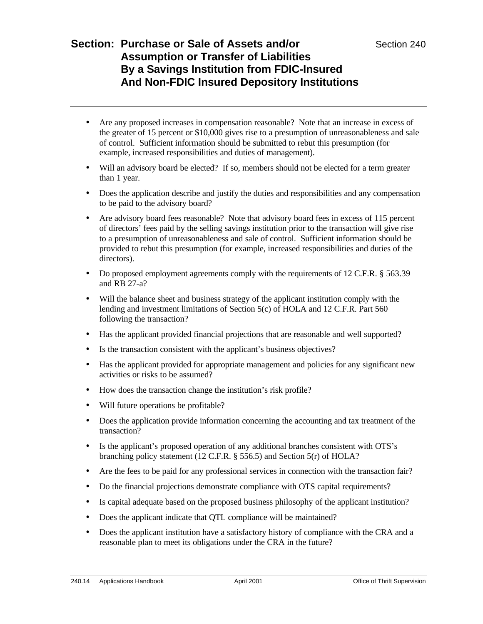- Are any proposed increases in compensation reasonable? Note that an increase in excess of the greater of 15 percent or \$10,000 gives rise to a presumption of unreasonableness and sale of control. Sufficient information should be submitted to rebut this presumption (for example, increased responsibilities and duties of management).
- Will an advisory board be elected? If so, members should not be elected for a term greater than 1 year.
- Does the application describe and justify the duties and responsibilities and any compensation to be paid to the advisory board?
- Are advisory board fees reasonable? Note that advisory board fees in excess of 115 percent of directors' fees paid by the selling savings institution prior to the transaction will give rise to a presumption of unreasonableness and sale of control. Sufficient information should be provided to rebut this presumption (for example, increased responsibilities and duties of the directors).
- Do proposed employment agreements comply with the requirements of 12 C.F.R. § 563.39 and RB 27-a?
- Will the balance sheet and business strategy of the applicant institution comply with the lending and investment limitations of Section 5(c) of HOLA and 12 C.F.R. Part 560 following the transaction?
- Has the applicant provided financial projections that are reasonable and well supported?
- Is the transaction consistent with the applicant's business objectives?
- Has the applicant provided for appropriate management and policies for any significant new activities or risks to be assumed?
- How does the transaction change the institution's risk profile?
- Will future operations be profitable?
- Does the application provide information concerning the accounting and tax treatment of the transaction?
- Is the applicant's proposed operation of any additional branches consistent with OTS's branching policy statement (12 C.F.R. § 556.5) and Section 5(r) of HOLA?
- Are the fees to be paid for any professional services in connection with the transaction fair?
- Do the financial projections demonstrate compliance with OTS capital requirements?
- Is capital adequate based on the proposed business philosophy of the applicant institution?
- Does the applicant indicate that QTL compliance will be maintained?
- Does the applicant institution have a satisfactory history of compliance with the CRA and a reasonable plan to meet its obligations under the CRA in the future?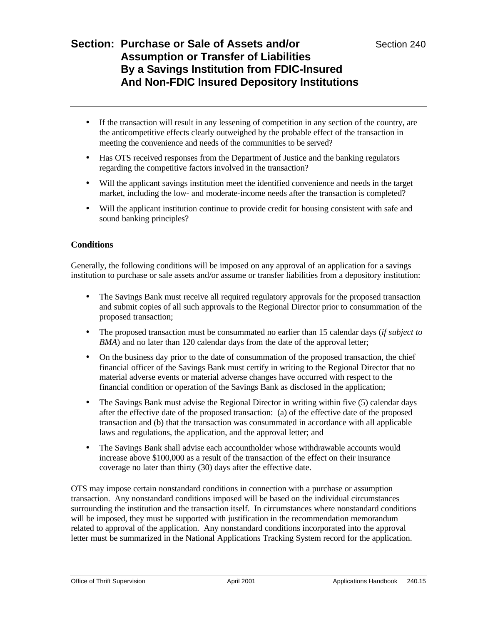- If the transaction will result in any lessening of competition in any section of the country, are the anticompetitive effects clearly outweighed by the probable effect of the transaction in meeting the convenience and needs of the communities to be served?
- Has OTS received responses from the Department of Justice and the banking regulators regarding the competitive factors involved in the transaction?
- Will the applicant savings institution meet the identified convenience and needs in the target market, including the low- and moderate-income needs after the transaction is completed?
- Will the applicant institution continue to provide credit for housing consistent with safe and sound banking principles?

### **Conditions**

Generally, the following conditions will be imposed on any approval of an application for a savings institution to purchase or sale assets and/or assume or transfer liabilities from a depository institution:

- The Savings Bank must receive all required regulatory approvals for the proposed transaction and submit copies of all such approvals to the Regional Director prior to consummation of the proposed transaction;
- The proposed transaction must be consummated no earlier than 15 calendar days (*if subject to BMA*) and no later than 120 calendar days from the date of the approval letter;
- On the business day prior to the date of consummation of the proposed transaction, the chief financial officer of the Savings Bank must certify in writing to the Regional Director that no material adverse events or material adverse changes have occurred with respect to the financial condition or operation of the Savings Bank as disclosed in the application;
- The Savings Bank must advise the Regional Director in writing within five (5) calendar days after the effective date of the proposed transaction: (a) of the effective date of the proposed transaction and (b) that the transaction was consummated in accordance with all applicable laws and regulations, the application, and the approval letter; and
- The Savings Bank shall advise each accountholder whose withdrawable accounts would increase above \$100,000 as a result of the transaction of the effect on their insurance coverage no later than thirty (30) days after the effective date.

OTS may impose certain nonstandard conditions in connection with a purchase or assumption transaction. Any nonstandard conditions imposed will be based on the individual circumstances surrounding the institution and the transaction itself. In circumstances where nonstandard conditions will be imposed, they must be supported with justification in the recommendation memorandum related to approval of the application. Any nonstandard conditions incorporated into the approval letter must be summarized in the National Applications Tracking System record for the application.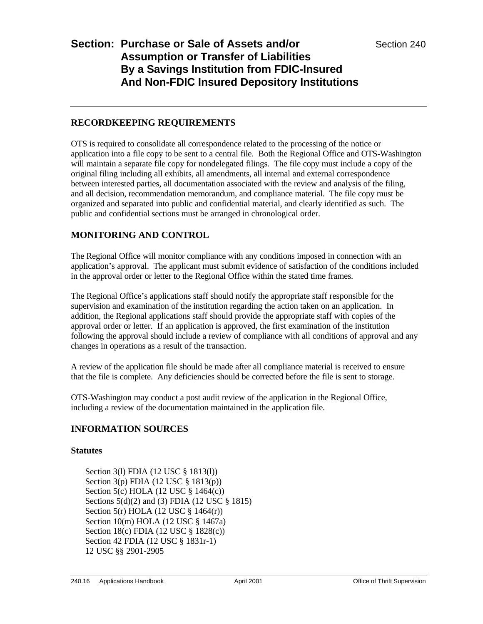### **RECORDKEEPING REQUIREMENTS**

OTS is required to consolidate all correspondence related to the processing of the notice or application into a file copy to be sent to a central file. Both the Regional Office and OTS-Washington will maintain a separate file copy for nondelegated filings. The file copy must include a copy of the original filing including all exhibits, all amendments, all internal and external correspondence between interested parties, all documentation associated with the review and analysis of the filing, and all decision, recommendation memorandum, and compliance material. The file copy must be organized and separated into public and confidential material, and clearly identified as such. The public and confidential sections must be arranged in chronological order.

## **MONITORING AND CONTROL**

The Regional Office will monitor compliance with any conditions imposed in connection with an application's approval. The applicant must submit evidence of satisfaction of the conditions included in the approval order or letter to the Regional Office within the stated time frames.

The Regional Office's applications staff should notify the appropriate staff responsible for the supervision and examination of the institution regarding the action taken on an application. In addition, the Regional applications staff should provide the appropriate staff with copies of the approval order or letter. If an application is approved, the first examination of the institution following the approval should include a review of compliance with all conditions of approval and any changes in operations as a result of the transaction.

A review of the application file should be made after all compliance material is received to ensure that the file is complete. Any deficiencies should be corrected before the file is sent to storage.

OTS-Washington may conduct a post audit review of the application in the Regional Office, including a review of the documentation maintained in the application file.

### **INFORMATION SOURCES**

### **Statutes**

Section 3(l) FDIA (12 USC § 1813(l)) Section 3(p) FDIA (12 USC § 1813(p)) Section 5(c) HOLA (12 USC § 1464(c)) Sections 5(d)(2) and (3) FDIA (12 USC § 1815) Section 5(r) HOLA (12 USC § 1464(r)) Section 10(m) HOLA (12 USC § 1467a) Section 18(c) FDIA (12 USC § 1828(c)) Section 42 FDIA (12 USC § 1831r-1) 12 USC §§ 2901-2905